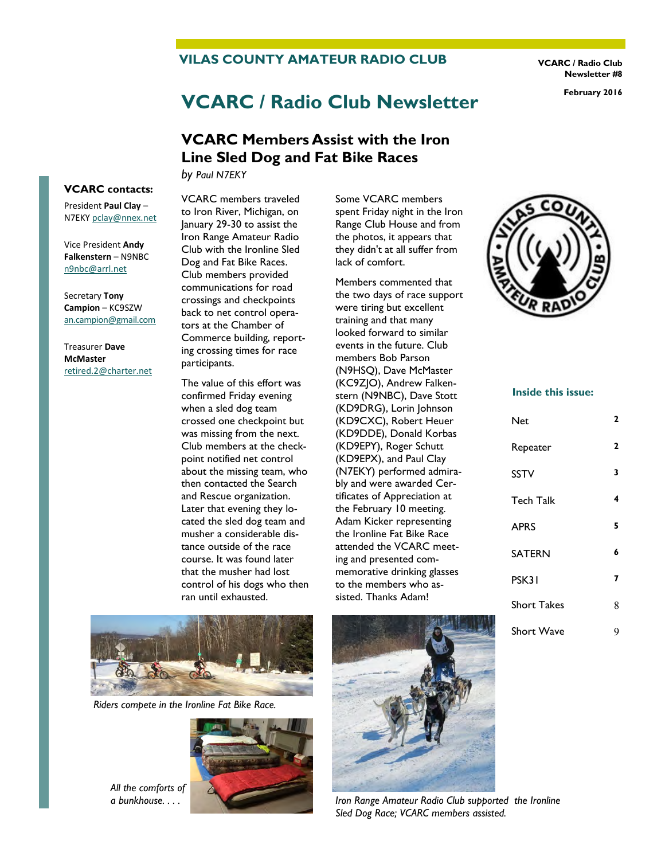#### **VILAS COUNTY AMATEUR RADIO CLUB**

**VCARC / Radio Club Newsletter #8** 

# **VCARC / Radio Club Newsletter February 2016**

## **VCARC Members Assist with the Iron Line Sled Dog and Fat Bike Races**

*by Paul N7EKY*

**VCARC contacts:**  President **Paul Clay** –

N7EKY [pclay@nnex.net](mailto:pclay@nnex.net)

Vice President **Andy Falkenstern** – N9NBC [n9nbc@arrl.net](mailto:n9nbc@arrl.net)

Secretary **Tony Campion** – KC9SZW [an.campion@gmail.com](mailto:an.campion@gmail.com)

Treasurer **Dave McMaster**  [retired.2@charter.net](mailto:retired.2@charter.net)

VCARC members traveled to Iron River, Michigan, on January 29-30 to assist the Iron Range Amateur Radio Club with the Ironline Sled Dog and Fat Bike Races. Club members provided communications for road crossings and checkpoints back to net control operators at the Chamber of Commerce building, reporting crossing times for race participants.

The value of this effort was confirmed Friday evening when a sled dog team crossed one checkpoint but was missing from the next. Club members at the checkpoint notified net control about the missing team, who then contacted the Search and Rescue organization. Later that evening they located the sled dog team and musher a considerable distance outside of the race course. It was found later that the musher had lost control of his dogs who then ran until exhausted.

Some VCARC members spent Friday night in the Iron Range Club House and from the photos, it appears that they didn't at all suffer from lack of comfort.

Members commented that the two days of race support were tiring but excellent training and that many looked forward to similar events in the future. Club members Bob Parson (N9HSQ), Dave McMaster (KC9ZJO), Andrew Falkenstern (N9NBC), Dave Stott (KD9DRG), Lorin Johnson (KD9CXC), Robert Heuer (KD9DDE), Donald Korbas (KD9EPY), Roger Schutt (KD9EPX), and Paul Clay (N7EKY) performed admirably and were awarded Certificates of Appreciation at the February 10 meeting. Adam Kicker representing the Ironline Fat Bike Race attended the VCARC meeting and presented commemorative drinking glasses to the members who assisted. Thanks Adam!



*Riders compete in the Ironline Fat Bike Race.* 



*All the comforts of* 



*a bunkhouse....* Iron Range Amateur Radio Club supported the Ironline *Sled Dog Race; VCARC members assisted.* 



#### **Inside this issue:**

| Net                | 2 |
|--------------------|---|
| Repeater           | 2 |
| <b>SSTV</b>        | 3 |
| <b>Tech Talk</b>   | 4 |
| <b>APRS</b>        | 5 |
| <b>SATERN</b>      | 6 |
| PSK31              | 7 |
| <b>Short Takes</b> | 8 |
| <b>Short Wave</b>  | 9 |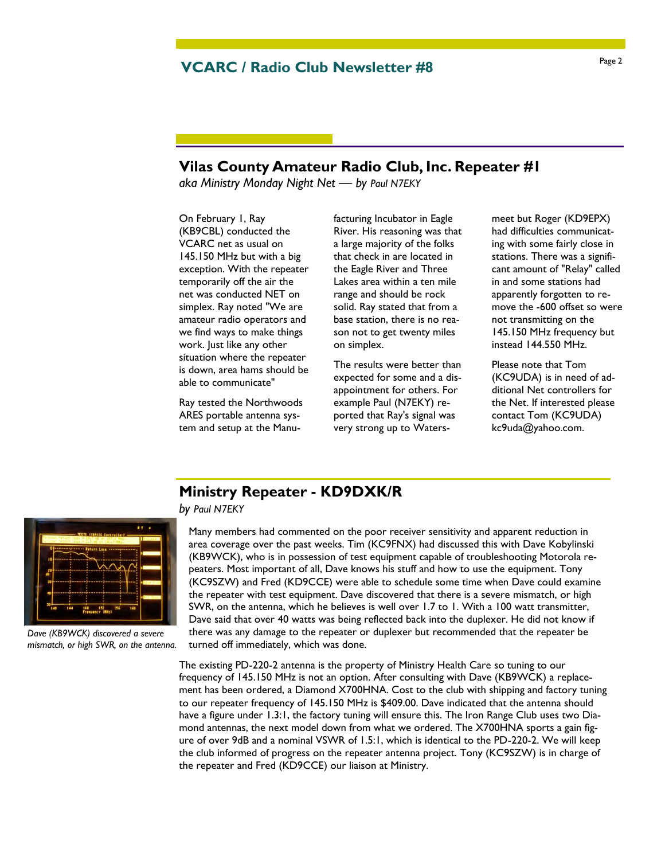## Page 2 **VCARC / Radio Club Newsletter #8**

## **Vilas County Amateur Radio Club, Inc. Repeater #1**

*aka Ministry Monday Night Net — by Paul N7EKY*

On February 1, Ray (KB9CBL) conducted the VCARC net as usual on 145.150 MHz but with a big exception. With the repeater temporarily off the air the net was conducted NET on simplex. Ray noted "We are amateur radio operators and we find ways to make things work. Just like any other situation where the repeater is down, area hams should be able to communicate"

Ray tested the Northwoods ARES portable antenna system and setup at the Manufacturing Incubator in Eagle River. His reasoning was that a large majority of the folks that check in are located in the Eagle River and Three Lakes area within a ten mile range and should be rock solid. Ray stated that from a base station, there is no reason not to get twenty miles on simplex.

The results were better than expected for some and a disappointment for others. For example Paul (N7EKY) reported that Ray's signal was very strong up to Watersmeet but Roger (KD9EPX) had difficulties communicating with some fairly close in stations. There was a significant amount of "Relay" called in and some stations had apparently forgotten to remove the -600 offset so were not transmitting on the 145.150 MHz frequency but instead 144.550 MHz.

Please note that Tom (KC9UDA) is in need of additional Net controllers for the Net. If interested please contact Tom (KC9UDA) kc9uda@yahoo.com.

### **Ministry Repeater - KD9DXK/R**

*by Paul N7EKY*

Many members had commented on the poor receiver sensitivity and apparent reduction in area coverage over the past weeks. Tim (KC9FNX) had discussed this with Dave Kobylinski (KB9WCK), who is in possession of test equipment capable of troubleshooting Motorola repeaters. Most important of all, Dave knows his stuff and how to use the equipment. Tony (KC9SZW) and Fred (KD9CCE) were able to schedule some time when Dave could examine the repeater with test equipment. Dave discovered that there is a severe mismatch, or high SWR, on the antenna, which he believes is well over 1.7 to 1. With a 100 watt transmitter, Dave said that over 40 watts was being reflected back into the duplexer. He did not know if there was any damage to the repeater or duplexer but recommended that the repeater be turned off immediately, which was done.

The existing PD-220-2 antenna is the property of Ministry Health Care so tuning to our frequency of 145.150 MHz is not an option. After consulting with Dave (KB9WCK) a replacement has been ordered, a Diamond X700HNA. Cost to the club with shipping and factory tuning to our repeater frequency of 145.150 MHz is \$409.00. Dave indicated that the antenna should have a figure under 1.3:1, the factory tuning will ensure this. The Iron Range Club uses two Diamond antennas, the next model down from what we ordered. The X700HNA sports a gain figure of over 9dB and a nominal VSWR of 1.5:1, which is identical to the PD-220-2. We will keep the club informed of progress on the repeater antenna project. Tony (KC9SZW) is in charge of the repeater and Fred (KD9CCE) our liaison at Ministry.



*Dave (KB9WCK) discovered a severe mismatch, or high SWR, on the antenna.*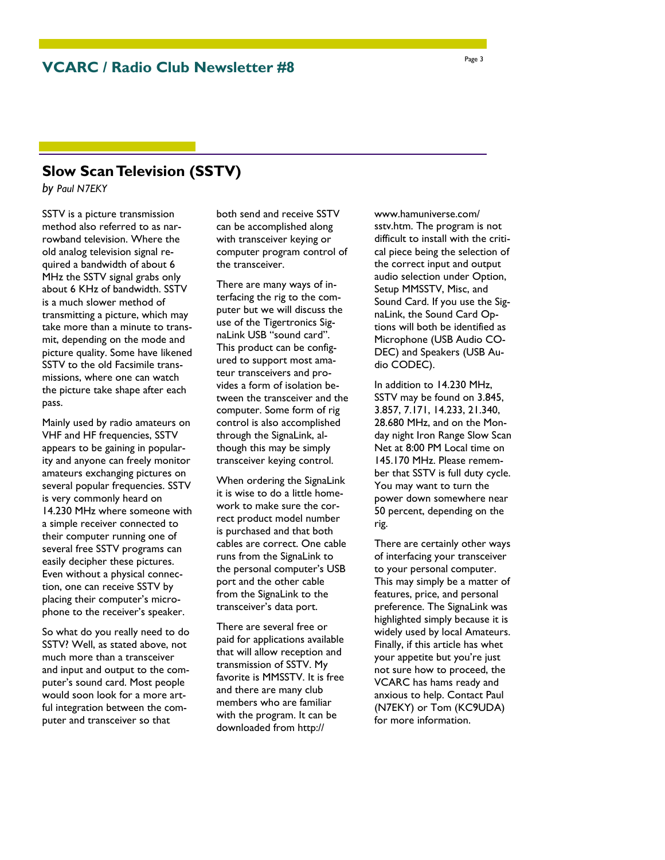## **Slow Scan Television (SSTV)**

*by Paul N7EKY*

SSTV is a picture transmission method also referred to as narrowband television. Where the old analog television signal required a bandwidth of about 6 MHz the SSTV signal grabs only about 6 KHz of bandwidth. SSTV is a much slower method of transmitting a picture, which may take more than a minute to transmit, depending on the mode and picture quality. Some have likened SSTV to the old Facsimile transmissions, where one can watch the picture take shape after each pass.

Mainly used by radio amateurs on VHF and HF frequencies, SSTV appears to be gaining in popularity and anyone can freely monitor amateurs exchanging pictures on several popular frequencies. SSTV is very commonly heard on 14.230 MHz where someone with a simple receiver connected to their computer running one of several free SSTV programs can easily decipher these pictures. Even without a physical connection, one can receive SSTV by placing their computer's microphone to the receiver's speaker.

So what do you really need to do SSTV? Well, as stated above, not much more than a transceiver and input and output to the computer's sound card. Most people would soon look for a more artful integration between the computer and transceiver so that

both send and receive SSTV can be accomplished along with transceiver keying or computer program control of the transceiver.

There are many ways of interfacing the rig to the computer but we will discuss the use of the Tigertronics SignaLink USB "sound card". This product can be configured to support most amateur transceivers and provides a form of isolation between the transceiver and the computer. Some form of rig control is also accomplished through the SignaLink, although this may be simply transceiver keying control.

When ordering the SignaLink it is wise to do a little homework to make sure the correct product model number is purchased and that both cables are correct. One cable runs from the SignaLink to the personal computer's USB port and the other cable from the SignaLink to the transceiver's data port.

There are several free or paid for applications available that will allow reception and transmission of SSTV. My favorite is MMSSTV. It is free and there are many club members who are familiar with the program. It can be downloaded from http://

www.hamuniverse.com/ sstv.htm. The program is not difficult to install with the critical piece being the selection of the correct input and output audio selection under Option, Setup MMSSTV, Misc, and Sound Card. If you use the SignaLink, the Sound Card Options will both be identified as Microphone (USB Audio CO-DEC) and Speakers (USB Audio CODEC).

In addition to 14.230 MHz, SSTV may be found on 3.845, 3.857, 7.171, 14.233, 21.340, 28.680 MHz, and on the Monday night Iron Range Slow Scan Net at 8:00 PM Local time on 145.170 MHz. Please remember that SSTV is full duty cycle. You may want to turn the power down somewhere near 50 percent, depending on the rig.

There are certainly other ways of interfacing your transceiver to your personal computer. This may simply be a matter of features, price, and personal preference. The SignaLink was highlighted simply because it is widely used by local Amateurs. Finally, if this article has whet your appetite but you're just not sure how to proceed, the VCARC has hams ready and anxious to help. Contact Paul (N7EKY) or Tom (KC9UDA) for more information.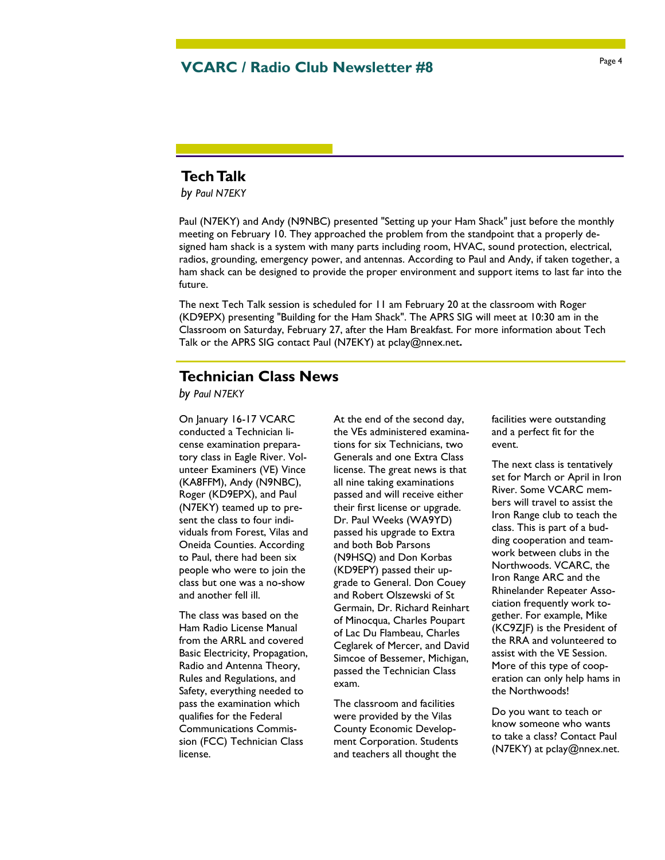## Page 4 **VCARC / Radio Club Newsletter #8**

## **Tech Talk**

*by Paul N7EKY*

Paul (N7EKY) and Andy (N9NBC) presented "Setting up your Ham Shack" just before the monthly meeting on February 10. They approached the problem from the standpoint that a properly designed ham shack is a system with many parts including room, HVAC, sound protection, electrical, radios, grounding, emergency power, and antennas. According to Paul and Andy, if taken together, a ham shack can be designed to provide the proper environment and support items to last far into the future.

The next Tech Talk session is scheduled for 11 am February 20 at the classroom with Roger (KD9EPX) presenting "Building for the Ham Shack". The APRS SIG will meet at 10:30 am in the Classroom on Saturday, February 27, after the Ham Breakfast. For more information about Tech Talk or the APRS SIG contact Paul (N7EKY) at pclay@nnex.net*.* 

## **Technician Class News**

*by Paul N7EKY*

On January 16-17 VCARC conducted a Technician license examination preparatory class in Eagle River. Volunteer Examiners (VE) Vince (KA8FFM), Andy (N9NBC), Roger (KD9EPX), and Paul (N7EKY) teamed up to present the class to four individuals from Forest, Vilas and Oneida Counties. According to Paul, there had been six people who were to join the class but one was a no-show and another fell ill.

The class was based on the Ham Radio License Manual from the ARRL and covered Basic Electricity, Propagation, Radio and Antenna Theory, Rules and Regulations, and Safety, everything needed to pass the examination which qualifies for the Federal Communications Commission (FCC) Technician Class license.

At the end of the second day, the VEs administered examinations for six Technicians, two Generals and one Extra Class license. The great news is that all nine taking examinations passed and will receive either their first license or upgrade. Dr. Paul Weeks (WA9YD) passed his upgrade to Extra and both Bob Parsons (N9HSQ) and Don Korbas (KD9EPY) passed their upgrade to General. Don Couey and Robert Olszewski of St Germain, Dr. Richard Reinhart of Minocqua, Charles Poupart of Lac Du Flambeau, Charles Ceglarek of Mercer, and David Simcoe of Bessemer, Michigan, passed the Technician Class exam.

The classroom and facilities were provided by the Vilas County Economic Development Corporation. Students and teachers all thought the

facilities were outstanding and a perfect fit for the event.

The next class is tentatively set for March or April in Iron River. Some VCARC members will travel to assist the Iron Range club to teach the class. This is part of a budding cooperation and teamwork between clubs in the Northwoods. VCARC, the Iron Range ARC and the Rhinelander Repeater Association frequently work together. For example, Mike (KC9ZJF) is the President of the RRA and volunteered to assist with the VE Session. More of this type of cooperation can only help hams in the Northwoods!

Do you want to teach or know someone who wants to take a class? Contact Paul (N7EKY) at pclay@nnex.net.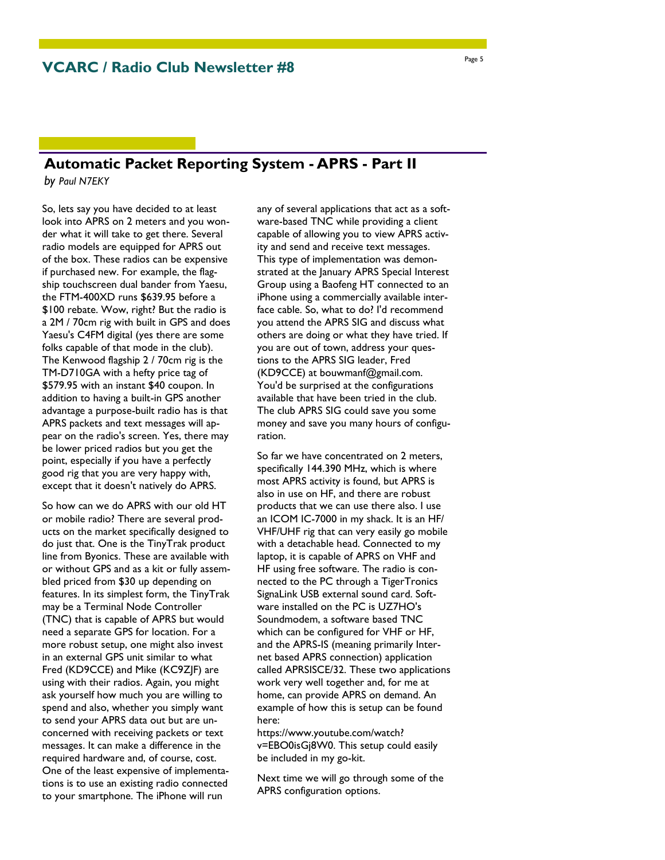## **Automatic Packet Reporting System - APRS - Part II**

*by Paul N7EKY*

So, lets say you have decided to at least look into APRS on 2 meters and you wonder what it will take to get there. Several radio models are equipped for APRS out of the box. These radios can be expensive if purchased new. For example, the flagship touchscreen dual bander from Yaesu, the FTM-400XD runs \$639.95 before a \$100 rebate. Wow, right? But the radio is a 2M / 70cm rig with built in GPS and does Yaesu's C4FM digital (yes there are some folks capable of that mode in the club). The Kenwood flagship 2 / 70cm rig is the TM-D710GA with a hefty price tag of \$579.95 with an instant \$40 coupon. In addition to having a built-in GPS another advantage a purpose-built radio has is that APRS packets and text messages will appear on the radio's screen. Yes, there may be lower priced radios but you get the point, especially if you have a perfectly good rig that you are very happy with, except that it doesn't natively do APRS.

So how can we do APRS with our old HT or mobile radio? There are several products on the market specifically designed to do just that. One is the TinyTrak product line from Byonics. These are available with or without GPS and as a kit or fully assembled priced from \$30 up depending on features. In its simplest form, the TinyTrak may be a Terminal Node Controller (TNC) that is capable of APRS but would need a separate GPS for location. For a more robust setup, one might also invest in an external GPS unit similar to what Fred (KD9CCE) and Mike (KC9ZJF) are using with their radios. Again, you might ask yourself how much you are willing to spend and also, whether you simply want to send your APRS data out but are unconcerned with receiving packets or text messages. It can make a difference in the required hardware and, of course, cost. One of the least expensive of implementations is to use an existing radio connected to your smartphone. The iPhone will run

any of several applications that act as a software-based TNC while providing a client capable of allowing you to view APRS activity and send and receive text messages. This type of implementation was demonstrated at the January APRS Special Interest Group using a Baofeng HT connected to an iPhone using a commercially available interface cable. So, what to do? I'd recommend you attend the APRS SIG and discuss what others are doing or what they have tried. If you are out of town, address your questions to the APRS SIG leader, Fred (KD9CCE) at bouwmanf@gmail.com. You'd be surprised at the configurations available that have been tried in the club. The club APRS SIG could save you some money and save you many hours of configuration.

So far we have concentrated on 2 meters, specifically 144.390 MHz, which is where most APRS activity is found, but APRS is also in use on HF, and there are robust products that we can use there also. I use an ICOM IC-7000 in my shack. It is an HF/ VHF/UHF rig that can very easily go mobile with a detachable head. Connected to my laptop, it is capable of APRS on VHF and HF using free software. The radio is connected to the PC through a TigerTronics SignaLink USB external sound card. Software installed on the PC is UZ7HO's Soundmodem, a software based TNC which can be configured for VHF or HF, and the APRS-IS (meaning primarily Internet based APRS connection) application called APRSISCE/32. These two applications work very well together and, for me at home, can provide APRS on demand. An example of how this is setup can be found here:

https://www.youtube.com/watch? v=EBO0isGj8W0. This setup could easily be included in my go-kit.

Next time we will go through some of the APRS configuration options.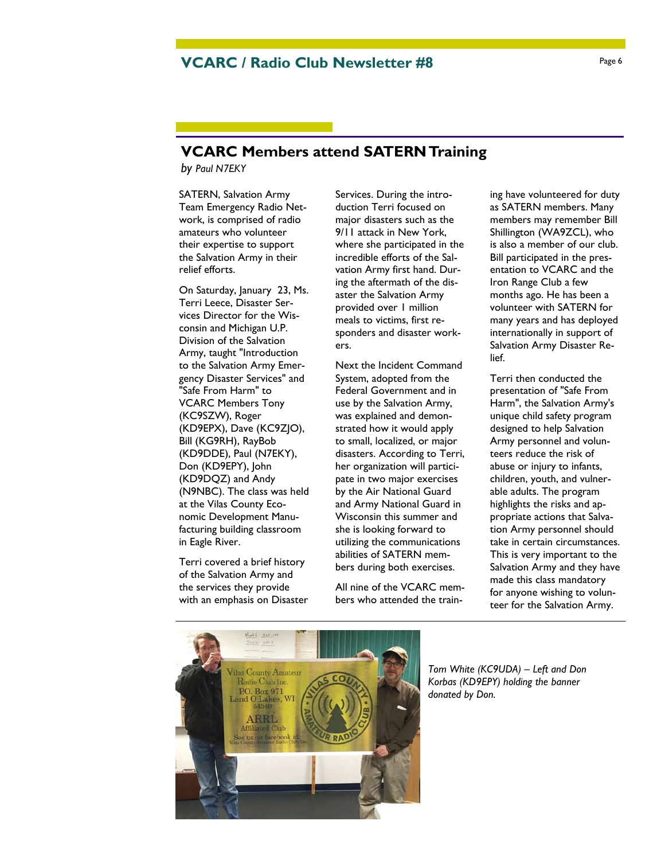## **VCARC / Radio Club Newsletter #8** Page 6

## **VCARC Members attend SATERN Training**

*by Paul N7EKY*

SATERN, Salvation Army Team Emergency Radio Network, is comprised of radio amateurs who volunteer their expertise to support the Salvation Army in their relief efforts.

On Saturday, January 23, Ms. Terri Leece, Disaster Services Director for the Wisconsin and Michigan U.P. Division of the Salvation Army, taught "Introduction to the Salvation Army Emergency Disaster Services" and "Safe From Harm" to VCARC Members Tony (KC9SZW), Roger (KD9EPX), Dave (KC9ZJO), Bill (KG9RH), RayBob (KD9DDE), Paul (N7EKY), Don (KD9EPY), John (KD9DQZ) and Andy (N9NBC). The class was held at the Vilas County Economic Development Manufacturing building classroom in Eagle River.

Terri covered a brief history of the Salvation Army and the services they provide with an emphasis on Disaster

Services. During the introduction Terri focused on major disasters such as the 9/11 attack in New York, where she participated in the incredible efforts of the Salvation Army first hand. During the aftermath of the disaster the Salvation Army provided over 1 million meals to victims, first responders and disaster workers.

Next the Incident Command System, adopted from the Federal Government and in use by the Salvation Army, was explained and demonstrated how it would apply to small, localized, or major disasters. According to Terri, her organization will participate in two major exercises by the Air National Guard and Army National Guard in Wisconsin this summer and she is looking forward to utilizing the communications abilities of SATERN members during both exercises.

All nine of the VCARC members who attended the training have volunteered for duty as SATERN members. Many members may remember Bill Shillington (WA9ZCL), who is also a member of our club. Bill participated in the presentation to VCARC and the Iron Range Club a few months ago. He has been a volunteer with SATERN for many years and has deployed internationally in support of Salvation Army Disaster Relief.

Terri then conducted the presentation of "Safe From Harm", the Salvation Army's unique child safety program designed to help Salvation Army personnel and volunteers reduce the risk of abuse or injury to infants, children, youth, and vulnerable adults. The program highlights the risks and appropriate actions that Salvation Army personnel should take in certain circumstances. This is very important to the Salvation Army and they have made this class mandatory for anyone wishing to volunteer for the Salvation Army.



*Tom White (KC9UDA) – Left and Don Korbas (KD9EPY) holding the banner donated by Don.*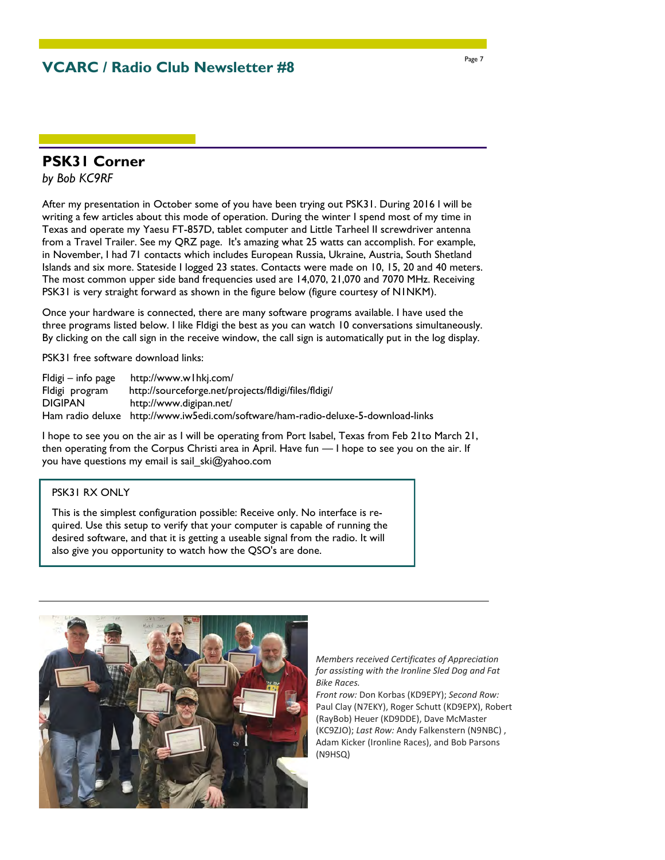**VCARC / Radio Club Newsletter #8** 

### **PSK31 Corner**

*by Bob KC9RF*

After my presentation in October some of you have been trying out PSK31. During 2016 I will be writing a few articles about this mode of operation. During the winter I spend most of my time in Texas and operate my Yaesu FT-857D, tablet computer and Little Tarheel II screwdriver antenna from a Travel Trailer. See my QRZ page. It's amazing what 25 watts can accomplish. For example, in November, I had 71 contacts which includes European Russia, Ukraine, Austria, South Shetland Islands and six more. Stateside I logged 23 states. Contacts were made on 10, 15, 20 and 40 meters. The most common upper side band frequencies used are 14,070, 21,070 and 7070 MHz. Receiving PSK31 is very straight forward as shown in the figure below (figure courtesy of N1NKM).

Once your hardware is connected, there are many software programs available. I have used the three programs listed below. I like Fldigi the best as you can watch 10 conversations simultaneously. By clicking on the call sign in the receive window, the call sign is automatically put in the log display.

PSK31 free software download links:

| $Fldigi - info page$ | http://www.wlhkj.com/                                                             |
|----------------------|-----------------------------------------------------------------------------------|
| Fldigi program       | http://sourceforge.net/projects/fldigi/files/fldigi/                              |
| <b>DIGIPAN</b>       | http://www.digipan.net/                                                           |
|                      | Ham radio deluxe http://www.iw5edi.com/software/ham-radio-deluxe-5-download-links |

I hope to see you on the air as I will be operating from Port Isabel, Texas from Feb 21to March 21, then operating from the Corpus Christi area in April. Have fun — I hope to see you on the air. If you have questions my email is sail ski@yahoo.com

#### PSK31 RX ONLY

This is the simplest configuration possible: Receive only. No interface is required. Use this setup to verify that your computer is capable of running the desired software, and that it is getting a useable signal from the radio. It will also give you opportunity to watch how the QSO's are done.



*Members received Certificates of Appreciation for assisting with the Ironline Sled Dog and Fat Bike Races.* 

*Front row:* Don Korbas (KD9EPY); *Second Row:*  Paul Clay (N7EKY), Roger Schutt (KD9EPX), Robert (RayBob) Heuer (KD9DDE), Dave McMaster (KC9ZJO); *Last Row:* Andy Falkenstern (N9NBC) , Adam Kicker (Ironline Races), and Bob Parsons (N9HSQ)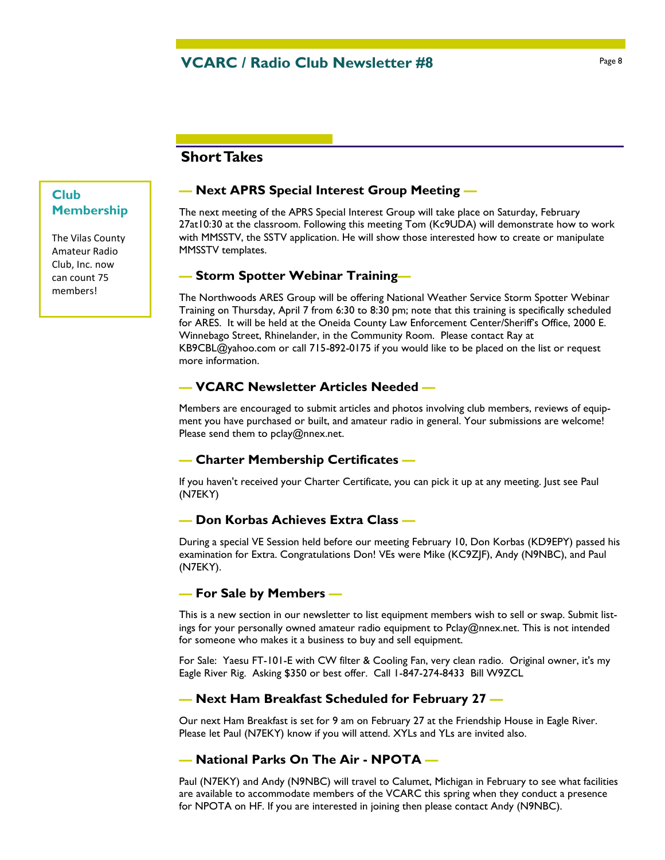### **Short Takes**

### **Club Membership**

The Vilas County Amateur Radio Club, Inc. now can count 75 members!

#### **— Next APRS Special Interest Group Meeting —**

The next meeting of the APRS Special Interest Group will take place on Saturday, February 27at10:30 at the classroom. Following this meeting Tom (Kc9UDA) will demonstrate how to work with MMSSTV, the SSTV application. He will show those interested how to create or manipulate MMSSTV templates.

#### **— Storm Spotter Webinar Training—**

The Northwoods ARES Group will be offering National Weather Service Storm Spotter Webinar Training on Thursday, April 7 from 6:30 to 8:30 pm; note that this training is specifically scheduled for ARES. It will be held at the Oneida County Law Enforcement Center/Sheriff's Office, 2000 E. Winnebago Street, Rhinelander, in the Community Room. Please contact Ray at KB9CBL@yahoo.com or call 715-892-0175 if you would like to be placed on the list or request more information.

#### **— VCARC Newsletter Articles Needed —**

Members are encouraged to submit articles and photos involving club members, reviews of equipment you have purchased or built, and amateur radio in general. Your submissions are welcome! Please send them to pclay@nnex.net.

#### **— Charter Membership Certificates —**

If you haven't received your Charter Certificate, you can pick it up at any meeting. Just see Paul (N7EKY)

#### **— Don Korbas Achieves Extra Class —**

During a special VE Session held before our meeting February 10, Don Korbas (KD9EPY) passed his examination for Extra. Congratulations Don! VEs were Mike (KC9ZJF), Andy (N9NBC), and Paul (N7EKY).

#### **— For Sale by Members —**

This is a new section in our newsletter to list equipment members wish to sell or swap. Submit listings for your personally owned amateur radio equipment to Pclay@nnex.net. This is not intended for someone who makes it a business to buy and sell equipment.

For Sale: Yaesu FT-101-E with CW filter & Cooling Fan, very clean radio. Original owner, it's my Eagle River Rig. Asking \$350 or best offer. Call 1-847-274-8433 Bill W9ZCL

#### **— Next Ham Breakfast Scheduled for February 27 —**

Our next Ham Breakfast is set for 9 am on February 27 at the Friendship House in Eagle River. Please let Paul (N7EKY) know if you will attend. XYLs and YLs are invited also.

#### **— National Parks On The Air - NPOTA —**

Paul (N7EKY) and Andy (N9NBC) will travel to Calumet, Michigan in February to see what facilities are available to accommodate members of the VCARC this spring when they conduct a presence for NPOTA on HF. If you are interested in joining then please contact Andy (N9NBC).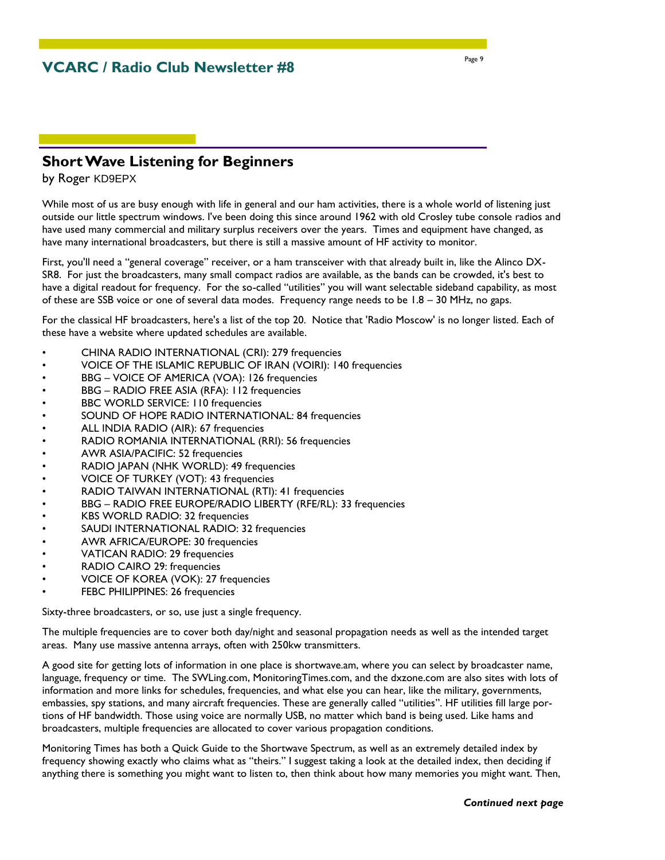## **Short Wave Listening for Beginners**

by Roger KD9EPX

While most of us are busy enough with life in general and our ham activities, there is a whole world of listening just outside our little spectrum windows. I've been doing this since around 1962 with old Crosley tube console radios and have used many commercial and military surplus receivers over the years. Times and equipment have changed, as have many international broadcasters, but there is still a massive amount of HF activity to monitor.

First, you'll need a "general coverage" receiver, or a ham transceiver with that already built in, like the Alinco DX-SR8. For just the broadcasters, many small compact radios are available, as the bands can be crowded, it's best to have a digital readout for frequency. For the so-called "utilities" you will want selectable sideband capability, as most of these are SSB voice or one of several data modes. Frequency range needs to be 1.8 – 30 MHz, no gaps.

For the classical HF broadcasters, here's a list of the top 20. Notice that 'Radio Moscow' is no longer listed. Each of these have a website where updated schedules are available.

- CHINA RADIO INTERNATIONAL (CRI): 279 frequencies
- VOICE OF THE ISLAMIC REPUBLIC OF IRAN (VOIRI): 140 frequencies
- BBG VOICE OF AMERICA (VOA): 126 frequencies
- BBG RADIO FREE ASIA (RFA): 112 frequencies
- BBC WORLD SERVICE: 110 frequencies
- SOUND OF HOPE RADIO INTERNATIONAL: 84 frequencies
- ALL INDIA RADIO (AIR): 67 frequencies
- RADIO ROMANIA INTERNATIONAL (RRI): 56 frequencies
- AWR ASIA/PACIFIC: 52 frequencies
- RADIO JAPAN (NHK WORLD): 49 frequencies
- VOICE OF TURKEY (VOT): 43 frequencies
- RADIO TAIWAN INTERNATIONAL (RTI): 41 frequencies
- BBG RADIO FREE EUROPE/RADIO LIBERTY (RFE/RL): 33 frequencies
- KBS WORLD RADIO: 32 frequencies
- SAUDI INTERNATIONAL RADIO: 32 frequencies
- AWR AFRICA/EUROPE: 30 frequencies
- VATICAN RADIO: 29 frequencies
- RADIO CAIRO 29: frequencies
- VOICE OF KOREA (VOK): 27 frequencies
- FEBC PHILIPPINES: 26 frequencies

Sixty-three broadcasters, or so, use just a single frequency.

The multiple frequencies are to cover both day/night and seasonal propagation needs as well as the intended target areas. Many use massive antenna arrays, often with 250kw transmitters.

A good site for getting lots of information in one place is shortwave.am, where you can select by broadcaster name, language, frequency or time. The SWLing.com, MonitoringTimes.com, and the dxzone.com are also sites with lots of information and more links for schedules, frequencies, and what else you can hear, like the military, governments, embassies, spy stations, and many aircraft frequencies. These are generally called "utilities". HF utilities fill large portions of HF bandwidth. Those using voice are normally USB, no matter which band is being used. Like hams and broadcasters, multiple frequencies are allocated to cover various propagation conditions.

Monitoring Times has both a Quick Guide to the Shortwave Spectrum, as well as an extremely detailed index by frequency showing exactly who claims what as "theirs." I suggest taking a look at the detailed index, then deciding if anything there is something you might want to listen to, then think about how many memories you might want. Then,